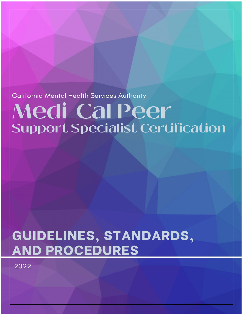California Mental Health Services Authority

# Medi-Cal Peer **Support Specialist Certification**

## GUIDELINES, STANDARDS, **AND PROCEDURES**

2022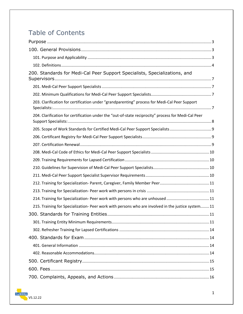## Table of Contents

| 200. Standards for Medi-Cal Peer Support Specialists, Specializations, and                          |
|-----------------------------------------------------------------------------------------------------|
|                                                                                                     |
|                                                                                                     |
| 203. Clarification for certification under "grandparenting" process for Medi-Cal Peer Support       |
| 204. Clarification for certification under the "out-of-state reciprocity" process for Medi-Cal Peer |
|                                                                                                     |
|                                                                                                     |
|                                                                                                     |
|                                                                                                     |
|                                                                                                     |
|                                                                                                     |
|                                                                                                     |
|                                                                                                     |
|                                                                                                     |
| 214. Training for Specialization- Peer work with persons who are unhoused 11                        |
| 215. Training for Specialization- Peer work with persons who are involved in the justice system 11  |
|                                                                                                     |
|                                                                                                     |
|                                                                                                     |
|                                                                                                     |
|                                                                                                     |
|                                                                                                     |
|                                                                                                     |
|                                                                                                     |
|                                                                                                     |

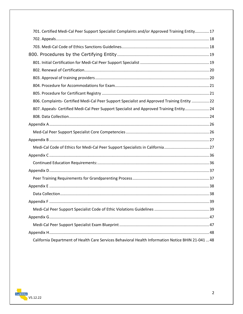| 701. Certified Medi-Cal Peer Support Specialist Complaints and/or Approved Training Entity 17 |  |
|-----------------------------------------------------------------------------------------------|--|
|                                                                                               |  |
|                                                                                               |  |
|                                                                                               |  |
|                                                                                               |  |
|                                                                                               |  |
|                                                                                               |  |
|                                                                                               |  |
|                                                                                               |  |
| 806. Complaints- Certified Medi-Cal Peer Support Specialist and Approved Training Entity  22  |  |
| 807. Appeals- Certified Medi-Cal Peer Support Specialist and Approved Training Entity 24      |  |
|                                                                                               |  |
|                                                                                               |  |
|                                                                                               |  |
|                                                                                               |  |
|                                                                                               |  |
|                                                                                               |  |
|                                                                                               |  |
|                                                                                               |  |
|                                                                                               |  |
|                                                                                               |  |
|                                                                                               |  |
|                                                                                               |  |
|                                                                                               |  |
|                                                                                               |  |
|                                                                                               |  |
|                                                                                               |  |
|                                                                                               |  |

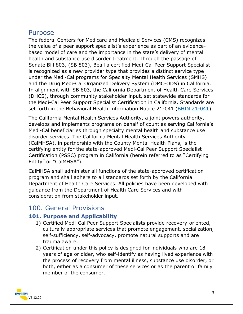#### <span id="page-3-0"></span>Purpose

The federal Centers for Medicare and Medicaid Services (CMS) recognizes the value of a peer support specialist's experience as part of an evidencebased model of care and the importance in the state's delivery of mental health and substance use disorder treatment. Through the passage of Senate Bill 803, (SB 803), Beall a certified Medi-Cal Peer Support Specialist is recognized as a new provider type that provides a distinct service type under the Medi-Cal programs for Specialty Mental Health Services (SMHS) and the Drug Medi-Cal Organized Delivery System (DMC-ODS) in California. In alignment with SB 803, the California Department of Health Care Services (DHCS), through community stakeholder input, set statewide standards for the Medi-Cal Peer Support Specialist Certification in California. Standards are set forth in the Behavioral Health Information Notice 21-041 [\(BHIN 21-041\)](https://www.dhcs.ca.gov/Documents/CSD_BL/BHIN-21-041.pdf).

The California Mental Health Services Authority, a joint powers authority, develops and implements programs on behalf of counties serving California's Medi-Cal beneficiaries through specialty mental health and substance use disorder services. The California Mental Health Services Authority (CalMHSA), in partnership with the County Mental Health Plans, is the certifying entity for the state-approved Medi-Cal Peer Support Specialist Certification (PSSC) program in California (herein referred to as "Certifying Entity" or "CalMHSA").

CalMHSA shall administer all functions of the state-approved certification program and shall adhere to all standards set forth by the California Department of Health Care Services. All policies have been developed with guidance from the Department of Health Care Services and with consideration from stakeholder input.

#### <span id="page-3-1"></span>100. General Provisions

#### <span id="page-3-2"></span>**101. Purpose and Applicability**

- 1) Certified Medi-Cal Peer Support Specialists provide recovery-oriented, culturally appropriate services that promote engagement, socialization, self-sufficiency, self-advocacy, promote natural supports and are trauma aware.
- 2) Certification under this policy is designed for individuals who are 18 years of age or older, who self-identify as having lived experience with the process of recovery from mental illness, substance use disorder, or both, either as a consumer of these services or as the parent or family member of the consumer.

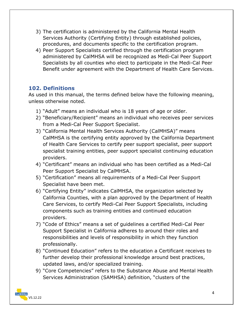- 3) The certification is administered by the California Mental Health Services Authority (Certifying Entity) through established policies, procedures, and documents specific to the certification program.
- 4) Peer Support Specialists certified through the certification program administered by CalMHSA will be recognized as Medi-Cal Peer Support Specialists by all counties who elect to participate in the Medi-Cal Peer Benefit under agreement with the Department of Health Care Services.

#### <span id="page-4-0"></span>**102. Definitions**

As used in this manual, the terms defined below have the following meaning, unless otherwise noted.

- 1) "Adult" means an individual who is 18 years of age or older.
- 2) "Beneficiary/Recipient" means an individual who receives peer services from a Medi-Cal Peer Support Specialist.
- 3) "California Mental Health Services Authority (CalMHSA)" means CalMHSA is the certifying entity approved by the California Department of Health Care Services to certify peer support specialist, peer support specialist training entities, peer support specialist continuing education providers.
- 4) "Certificant" means an individual who has been certified as a Medi-Cal Peer Support Specialist by CalMHSA.
- 5) "Certification" means all requirements of a Medi-Cal Peer Support Specialist have been met.
- 6) "Certifying Entity" indicates CalMHSA, the organization selected by California Counties, with a plan approved by the Department of Health Care Services, to certify Medi-Cal Peer Support Specialists, including components such as training entities and continued education providers.
- 7) "Code of Ethics" means a set of guidelines a certified Medi-Cal Peer Support Specialist in California adheres to around their roles and responsibilities and levels of responsibility in which they function professionally.
- 8) "Continued Education" refers to the education a Certificant receives to further develop their professional knowledge around best practices, updated laws, and/or specialized training.
- 9) "Core Competencies" refers to the Substance Abuse and Mental Health Services Administration (SAMHSA) definition, "clusters of the

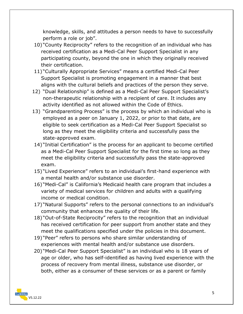knowledge, skills, and attitudes a person needs to have to successfully perform a role or job".

- 10) "County Reciprocity" refers to the recognition of an individual who has received certification as a Medi-Cal Peer Support Specialist in any participating county, beyond the one in which they originally received their certification.
- 11) "Culturally Appropriate Services" means a certified Medi-Cal Peer Support Specialist is promoting engagement in a manner that best aligns with the cultural beliefs and practices of the person they serve.
- 12) "Dual Relationship" is defined as a Medi-Cal Peer Support Specialist's non-therapeutic relationship with a recipient of care. It includes any activity identified as not allowed within the Code of Ethics.
- 13) "Grandparenting Process" is the process by which an individual who is employed as a peer on January 1, 2022, or prior to that date, are eligible to seek certification as a Medi-Cal Peer Support Specialist so long as they meet the eligibility criteria and successfully pass the state-approved exam.
- 14) "Initial Certification" is the process for an applicant to become certified as a Medi-Cal Peer Support Specialist for the first time so long as they meet the eligibility criteria and successfully pass the state-approved exam.
- 15) "Lived Experience" refers to an individual's first-hand experience with a mental health and/or substance use disorder.
- 16) "Medi-Cal" is California's Medicaid health care program that includes a variety of medical services for children and adults with a qualifying income or medical condition.
- 17) "Natural Supports" refers to the personal connections to an individual's community that enhances the quality of their life.
- 18) "Out-of-State Reciprocity" refers to the recognition that an individual has received certification for peer support from another state and they meet the qualifications specified under the policies in this document.
- 19) "Peer" refers to persons who share similar understanding of experiences with mental health and/or substance use disorders.
- 20) "Medi-Cal Peer Support Specialist" is an individual who is 18 years of age or older, who has self-identified as having lived experience with the process of recovery from mental illness, substance use disorder, or both, either as a consumer of these services or as a parent or family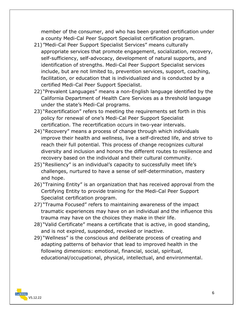member of the consumer, and who has been granted certification under a county Medi-Cal Peer Support Specialist certification program.

- 21) "Medi-Cal Peer Support Specialist Services" means culturally appropriate services that promote engagement, socialization, recovery, self-sufficiency, self-advocacy, development of natural supports, and identification of strengths. Medi-Cal Peer Support Specialist services include, but are not limited to, prevention services, support, coaching, facilitation, or education that is individualized and is conducted by a certified Medi-Cal Peer Support Specialist.
- 22) "Prevalent Languages" means a non-English language identified by the California Department of Health Care Services as a threshold language under the state's Medi-Cal programs.
- 23) "Recertification" refers to meeting the requirements set forth in this policy for renewal of one's Medi-Cal Peer Support Specialist certification. The recertification occurs in two-year intervals.
- 24) "Recovery" means a process of change through which individuals improve their health and wellness, live a self-directed life, and strive to reach their full potential. This process of change recognizes cultural diversity and inclusion and honors the different routes to resilience and recovery based on the individual and their cultural community.
- 25) "Resiliency" is an individual's capacity to successfully meet life's challenges, nurtured to have a sense of self-determination, mastery and hope.
- 26) "Training Entity" is an organization that has received approval from the Certifying Entity to provide training for the Medi-Cal Peer Support Specialist certification program.
- 27) "Trauma Focused" refers to maintaining awareness of the impact traumatic experiences may have on an individual and the influence this trauma may have on the choices they make in their life.
- 28) "Valid Certificate" means a certificate that is active, in good standing, and is not expired, suspended, revoked or inactive.
- 29) "Wellness" is the conscious and deliberate process of creating and adapting patterns of behavior that lead to improved health in the following dimensions: emotional, financial, social, spiritual, educational/occupational, physical, intellectual, and environmental.

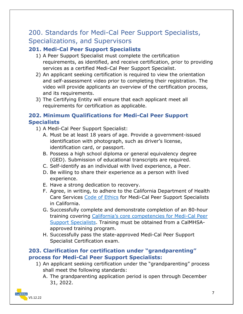## <span id="page-7-0"></span>200. Standards for Medi-Cal Peer Support Specialists, Specializations, and Supervisors

#### <span id="page-7-1"></span>**201. Medi-Cal Peer Support Specialists**

- 1) A Peer Support Specialist must complete the certification requirements, as identified, and receive certification, prior to providing services as a certified Medi-Cal Peer Support Specialist.
- 2) An applicant seeking certification is required to view the orientation and self-assessment video prior to completing their registration. The video will provide applicants an overview of the certification process, and its requirements.
- 3) The Certifying Entity will ensure that each applicant meet all requirements for certification as applicable.

#### <span id="page-7-2"></span>**202. Minimum Qualifications for Medi-Cal Peer Support Specialists**

- 1) A Medi-Cal Peer Support Specialist:
	- A. Must be at least 18 years of age. Provide a government-issued identification with photograph, such as driver's license, identification card, or passport.
	- B. Possess a high school diploma or general equivalency degree (GED). Submission of educational transcripts are required.
	- C. Self-identify as an individual with lived experience, a Peer.
	- D. Be willing to share their experience as a person with lived experience.
	- E. Have a strong dedication to recovery.
	- F. Agree, in writing, to adhere to the California Department of Health Care Services [Code of Ethics](#page-27-1) for Medi-Cal Peer Support Specialists in California.
	- G. Successfully complete and demonstrate completion of an 80-hour training covering [California's core competencies](#page-26-1) for Medi-Cal Peer [Support Specialists.](#page-26-1) Training must be obtained from a CalMHSAapproved training program.
	- H. Successfully pass the state-approved Medi-Cal Peer Support Specialist Certification exam.

#### <span id="page-7-3"></span>**203. Clarification for certification under "grandparenting" process for Medi-Cal Peer Support Specialists:**

- 1) An applicant seeking certification under the "grandparenting" process shall meet the following standards:
	- A. The grandparenting application period is open through December 31, 2022.

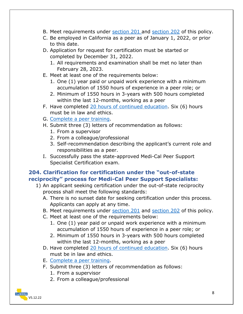- B. Meet requirements under [section 201 a](#page-7-1)nd [section 202](#page-7-2) of this policy.
- C. Be employed in California as a peer as of January 1, 2022, or prior to this date.
- D. Application for request for certification must be started or completed by December 31, 2022.
	- 1. All requirements and examination shall be met no later than February 28, 2023.
- E. Meet at least one of the requirements below:
	- 1. One (1) year paid or unpaid work experience with a minimum accumulation of 1550 hours of experience in a peer role; or
	- 2. Minimum of 1550 hours in 3-years with 500 hours completed within the last 12-months, working as a peer
- F. Have completed [20 hours of continued education.](#page-36-1) Six (6) hours must be in law and ethics.
- G. [Complete a peer training.](#page-37-0)
- H. Submit three (3) letters of recommendation as follows:
	- 1. From a supervisor
	- 2. From a colleague/professional
	- 3. Self-recommendation describing the applicant's current role and responsibilities as a peer.
- I. Successfully pass the state-approved Medi-Cal Peer Support Specialist Certification exam.

#### <span id="page-8-0"></span>**204. Clarification for certification under the "out-of-state reciprocity" process for Medi-Cal Peer Support Specialists:**

- 1) An applicant seeking certification under the out-of-state reciprocity process shall meet the following standards:
	- A. There is no sunset date for seeking certification under this process. Applicants can apply at any time.
	- B. Meet requirements under [section 201](#page-7-1) and [section 202](#page-7-2) of this policy.
	- C. Meet at least one of the requirements below:
		- 1. One (1) year paid or unpaid work experience with a minimum accumulation of 1550 hours of experience in a peer role; or
		- 2. Minimum of 1550 hours in 3-years with 500 hours completed within the last 12-months, working as a peer
	- D. Have completed [20 hours of continued education.](#page-36-1) Six (6) hours must be in law and ethics.
	- E. [Complete a peer training.](#page-37-0)
	- F. Submit three (3) letters of recommendation as follows:
		- 1. From a supervisor
		- 2. From a colleague/professional

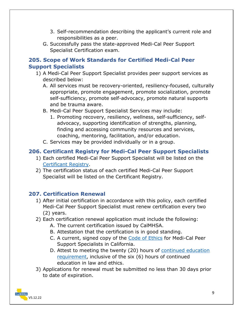- 3. Self-recommendation describing the applicant's current role and responsibilities as a peer.
- G. Successfully pass the state-approved Medi-Cal Peer Support Specialist Certification exam.

#### <span id="page-9-0"></span>**205. Scope of Work Standards for Certified Medi-Cal Peer Support Specialists**

- 1) A Medi-Cal Peer Support Specialist provides peer support services as described below:
	- A. All services must be recovery-oriented, resiliency-focused, culturally appropriate, promote engagement, promote socialization, promote self-sufficiency, promote self-advocacy, promote natural supports and be trauma aware.
	- B. Medi-Cal Peer Support Specialist Services may include:
		- 1. Promoting recovery, resiliency, wellness, self-sufficiency, selfadvocacy, supporting identification of strengths, planning, finding and accessing community resources and services, coaching, mentoring, facilitation, and/or education.
	- C. Services may be provided individually or in a group.

#### <span id="page-9-1"></span>**206. Certificant Registry for Medi-Cal Peer Support Specialists**

- 1) Each certified Medi-Cal Peer Support Specialist will be listed on the [Certificant Registry.](#page-15-0)
- 2) The certification status of each certified Medi-Cal Peer Support Specialist will be listed on the Certificant Registry.

#### <span id="page-9-2"></span>**207. Certification Renewal**

- 1) After initial certification in accordance with this policy, each certified Medi-Cal Peer Support Specialist must renew certification every two (2) years.
- 2) Each certification renewal application must include the following:
	- A. The current certification issued by CalMHSA.
	- B. Attestation that the certification is in good standing.
	- C. A current, signed copy of the [Code of Ethics](#page-26-0) for Medi-Cal Peer Support Specialists in California.
	- D. Attest to meeting the twenty (20) hours of [continued education](#page-36-1) requirement, inclusive of the six (6) hours of continued education in law and ethics.
- 3) Applications for renewal must be submitted no less than 30 days prior to date of expiration.

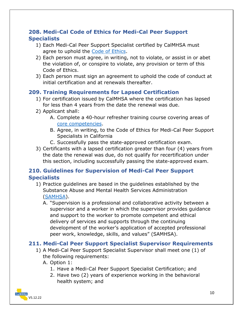#### <span id="page-10-0"></span>**208. Medi-Cal Code of Ethics for Medi-Cal Peer Support Specialists**

- 1) Each Medi-Cal Peer Support Specialist certified by CalMHSA must agree to uphold the [Code of Ethics.](#page-27-1)
- 2) Each person must agree, in writing, not to violate, or assist in or abet the violation of, or conspire to violate, any provision or term of this Code of Ethics.
- 3) Each person must sign an agreement to uphold the code of conduct at initial certification and at renewals thereafter.

#### <span id="page-10-1"></span>**209. Training Requirements for Lapsed Certification**

- 1) For certification issued by CalMHSA where the certification has lapsed for less than 4 years from the date the renewal was due.
- 2) Applicant shall:
	- A. Complete a 40-hour refresher training course covering areas of [core competencies.](#page-26-1)
	- B. Agree, in writing, to the Code of Ethics for Medi-Cal Peer Support Specialists in California
	- C. Successfully pass the state-approved certification exam.
- 3) Certificants with a lapsed certification greater than four (4) years from the date the renewal was due, do not qualify for recertification under this section, including successfully passing the state-approved exam.

#### <span id="page-10-2"></span>**210. Guidelines for Supervision of Medi-Cal Peer Support Specialists**

- 1) Practice guidelines are based in the guidelines established by the Substance Abuse and Mental Health Services Administration [\(SAMHSA\)](https://www.samhsa.gov/sites/default/files/programs_campaigns/brss_tacs/guidelines-peer-supervision-4-ppt-cp5.pdf).
	- A. "Supervision is a professional and collaborative activity between a supervisor and a worker in which the supervisor provides guidance and support to the worker to promote competent and ethical delivery of services and supports through the continuing development of the worker's application of accepted professional peer work, knowledge, skills, and values" (SAMHSA).

#### <span id="page-10-3"></span>**211. Medi-Cal Peer Support Specialist Supervisor Requirements**

- 1) A Medi-Cal Peer Support Specialist Supervisor shall meet one (1) of the following requirements:
	- A. Option 1:
		- 1. Have a Medi-Cal Peer Support Specialist Certification; and
		- 2. Have two (2) years of experience working in the behavioral health system; and

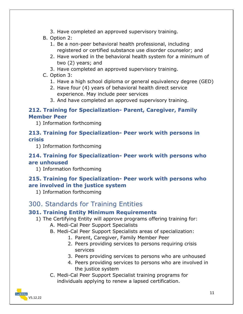- 3. Have completed an approved supervisory training.
- B. Option 2:
	- 1. Be a non-peer behavioral health professional, including registered or certified substance use disorder counselor; and
	- 2. Have worked in the behavioral health system for a minimum of two (2) years; and
	- 3. Have completed an approved supervisory training.
- C. Option 3:
	- 1. Have a high school diploma or general equivalency degree (GED)
	- 2. Have four (4) years of behavioral health direct service experience. May include peer services
	- 3. And have completed an approved supervisory training.

#### <span id="page-11-0"></span>**212. Training for Specialization- Parent, Caregiver, Family Member Peer**

1) Information forthcoming

#### <span id="page-11-1"></span>**213. Training for Specialization- Peer work with persons in crisis**

1) Information forthcoming

#### <span id="page-11-2"></span>**214. Training for Specialization- Peer work with persons who are unhoused**

1) Information forthcoming

#### <span id="page-11-3"></span>**215. Training for Specialization- Peer work with persons who are involved in the justice system**

1) Information forthcoming

## <span id="page-11-4"></span>300. Standards for Training Entities

#### <span id="page-11-5"></span>**301. Training Entity Minimum Requirements**

- 1) The Certifying Entity will approve programs offering training for:
	- A. Medi-Cal Peer Support Specialists
	- B. Medi-Cal Peer Support Specialists areas of specialization:
		- 1. Parent, Caregiver, Family Member Peer
		- 2. Peers providing services to persons requiring crisis services
		- 3. Peers providing services to persons who are unhoused
		- 4. Peers providing services to persons who are involved in the justice system
	- C. Medi-Cal Peer Support Specialist training programs for individuals applying to renew a lapsed certification.

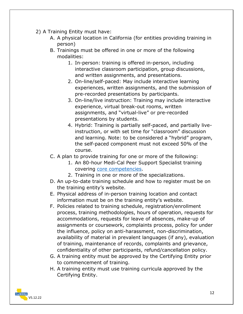- 2) A Training Entity must have:
	- A. A physical location in California (for entities providing training in person)
	- B. Trainings must be offered in one or more of the following modalities:
		- 1. In-person: training is offered in-person, including interactive classroom participation, group discussions, and written assignments, and presentations.
		- 2. On-line/self-paced: May include interactive learning experiences, written assignments, and the submission of pre-recorded presentations by participants.
		- 3. On-line/live instruction: Training may include interactive experience, virtual break-out rooms, written assignments, and "virtual-live" or pre-recorded presentations by students.
		- 4. Hybrid: Training is partially self-paced, and partially liveinstruction, or with set time for "classroom" discussion and learning. Note: to be considered a "hybrid" program, the self-paced component must not exceed 50% of the course.
	- C. A plan to provide training for one or more of the following:
		- 1. An 80-hour Medi-Cal Peer Support Specialist training covering [core competencies.](#page-26-1)
		- 2. Training in one or more of the specializations.
	- D. An up-to-date training schedule and how to register must be on the training entity's website.
	- E. Physical address of in-person training location and contact information must be on the training entity's website.
	- F. Policies related to training schedule, registration/enrollment process, training methodologies, hours of operation, requests for accommodations, requests for leave of absences, make-up of assignments or coursework, complaints process, policy for under the influence, policy on anti-harassment, non-discrimination, availability of material in prevalent languages (if any), evaluation of training, maintenance of records, complaints and grievance, confidentiality of other participants, refund/cancellation policy.
	- G. A training entity must be approved by the Certifying Entity prior to commencement of training.
	- H. A training entity must use training curricula approved by the Certifying Entity.

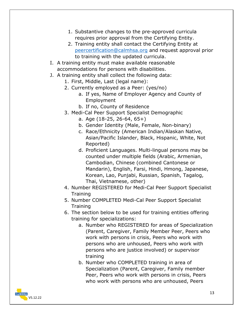- 1. Substantive changes to the pre-approved curricula requires prior approval from the Certifying Entity.
- 2. Training entity shall contact the Certifying Entity at [peercertification@calmhsa.org](mailto:peercertification@calmhsa.org) and request approval prior to training with the updated curricula.
- I. A training entity must make available reasonable accommodations for persons with disabilities.
- J. A training entity shall collect the following data:
	- 1. First, Middle, Last (legal name):
	- 2. Currently employed as a Peer: (yes/no)
		- a. If yes, Name of Employer Agency and County of Employment
		- b. If no, County of Residence
	- 3. Medi-Cal Peer Support Specialist Demographic
		- a. Age (18-25, 26-64, 65+)
		- b. Gender Identity (Male, Female, Non-binary)
		- c. Race/Ethnicity (American Indian/Alaskan Native, Asian/Pacific Islander, Black, Hispanic, White, Not Reported)
		- d. Proficient Languages. Multi-lingual persons may be counted under multiple fields (Arabic, Armenian, Cambodian, Chinese (combined Cantonese or Mandarin), English, Farsi, Hindi, Hmong, Japanese, Korean, Lao, Punjabi, Russian, Spanish, Tagalog, Thai, Vietnamese, other)
	- 4. Number REGISTERED for Medi-Cal Peer Support Specialist **Training**
	- 5. Number COMPLETED Medi-Cal Peer Support Specialist Training
	- 6. The section below to be used for training entities offering training for specializations:
		- a. Number who REGISTERED for areas of Specialization (Parent, Caregiver, Family Member Peer, Peers who work with persons in crisis, Peers who work with persons who are unhoused, Peers who work with persons who are justice involved) or supervisor training
		- b. Number who COMPLETED training in area of Specialization (Parent, Caregiver, Family member Peer, Peers who work with persons in crisis, Peers who work with persons who are unhoused, Peers

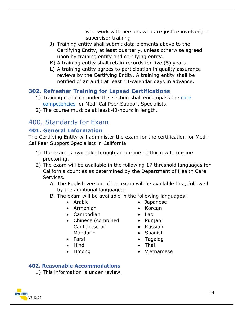who work with persons who are justice involved) or supervisor training

- J) Training entity shall submit data elements above to the Certifying Entity, at least quarterly, unless otherwise agreed upon by training entity and certifying entity.
- K) A training entity shall retain records for five (5) years.
- L) A training entity agrees to participation in quality assurance reviews by the Certifying Entity. A training entity shall be notified of an audit at least 14-calendar days in advance.

#### <span id="page-14-0"></span>**302. Refresher Training for Lapsed Certifications**

- 1) Training curricula under this section shall encompass the [core](#page-26-1)  [competencies](#page-26-1) for Medi-Cal Peer Support Specialists.
- 2) The course must be at least 40-hours in length.

## <span id="page-14-1"></span>400. Standards for Exam

#### <span id="page-14-2"></span>**401. General Information**

The Certifying Entity will administer the exam for the certification for Medi-Cal Peer Support Specialists in California.

- 1) The exam is available through an on-line platform with on-line proctoring.
- 2) The exam will be available in the following 17 threshold languages for California counties as determined by the Department of Health Care Services.
	- A. The English version of the exam will be available first, followed by the additional languages.
	- B. The exam will be available in the following languages:
		-
		- Armenian Korean
		- Cambodian Lao
		- Chinese (combined Cantonese or Mandarin
		-
		- Hindi Thai
		-
- Arabic Japanese
	-
	-
	- Punjabi
	- Russian
	- Spanish
- Farsi Tagalog
	-
- Hmong **•** Vietnamese

#### <span id="page-14-3"></span>**402. Reasonable Accommodations**

1) This information is under review.

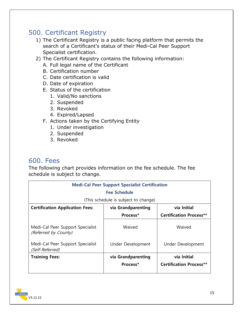## <span id="page-15-0"></span>500. Certificant Registry

- 1) The Certificant Registry is a public facing platform that permits the search of a Certificant's status of their Medi-Cal Peer Support Specialist certification.
- 2) The Certificant Registry contains the following information:
	- A. Full legal name of the Certificant
	- B. Certification number
	- C. Date certification is valid
	- D. Date of expiration
	- E. Status of the certification
		- 1. Valid/No sanctions
		- 2. Suspended
		- 3. Revoked
		- 4. Expired/Lapsed
	- F. Actions taken by the Certifying Entity
		- 1. Under investigation
		- 2. Suspended
		- 3. Revoked

#### <span id="page-15-1"></span>600. Fees

The following chart provides information on the fee schedule. The fee schedule is subject to change.

| <b>Medi-Cal Peer Support Specialist Certification</b>    |                                      |                                |  |
|----------------------------------------------------------|--------------------------------------|--------------------------------|--|
| <b>Fee Schedule</b>                                      |                                      |                                |  |
|                                                          | (This schedule is subject to change) |                                |  |
| <b>Certification Application Fees:</b>                   | via Initial<br>via Grandparenting    |                                |  |
|                                                          | Process*                             | <b>Certification Process**</b> |  |
| Medi-Cal Peer Support Specialist<br>(Referred by County) | Waived                               | Waived                         |  |
| Medi-Cal Peer Support Specialist<br>(Self-Referred)      | Under Development                    | Under Development              |  |
| <b>Training Fees:</b>                                    | via Initial<br>via Grandparenting    |                                |  |
|                                                          | Process*                             | <b>Certification Process**</b> |  |

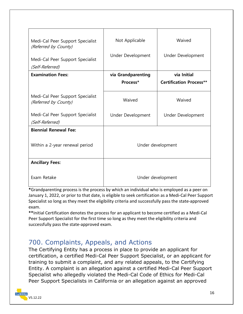| Medi-Cal Peer Support Specialist<br>(Referred by County) | Not Applicable     | Waived                         |
|----------------------------------------------------------|--------------------|--------------------------------|
| Medi-Cal Peer Support Specialist                         | Under Development  | Under Development              |
| (Self-Referred)                                          |                    |                                |
| <b>Examination Fees:</b>                                 | via Grandparenting | via Initial                    |
|                                                          | Process*           | <b>Certification Process**</b> |
| Medi-Cal Peer Support Specialist<br>(Referred by County) | Waived             | Waived                         |
| Medi-Cal Peer Support Specialist<br>(Self-Referred)      | Under Development  | Under Development              |
| <b>Biennial Renewal Fee:</b>                             |                    |                                |
| Within a 2-year renewal period                           | Under development  |                                |
| <b>Ancillary Fees:</b>                                   |                    |                                |
| Exam Retake                                              | Under development  |                                |

**\***Grandparenting process is the process by which an individual who is employed as a peer on January 1, 2022, or prior to that date, is eligible to seek certification as a Medi-Cal Peer Support Specialist so long as they meet the eligibility criteria and successfully pass the state-approved exam.

**\*\***Initial Certification denotes the process for an applicant to become certified as a Medi-Cal Peer Support Specialist for the first time so long as they meet the eligibility criteria and successfully pass the state-approved exam.

## <span id="page-16-0"></span>700. Complaints, Appeals, and Actions

The Certifying Entity has a process in place to provide an applicant for certification, a certified Medi-Cal Peer Support Specialist, or an applicant for training to submit a complaint, and any related appeals, to the Certifying Entity. A complaint is an allegation against a certified Medi-Cal Peer Support Specialist who allegedly violated the Medi-Cal Code of Ethics for Medi-Cal Peer Support Specialists in California or an allegation against an approved

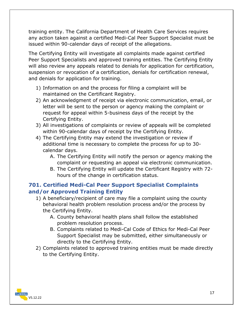training entity. The California Department of Health Care Services requires any action taken against a certified Medi-Cal Peer Support Specialist must be issued within 90-calendar days of receipt of the allegations.

The Certifying Entity will investigate all complaints made against certified Peer Support Specialists and approved training entities. The Certifying Entity will also review any appeals related to denials for application for certification, suspension or revocation of a certification, denials for certification renewal, and denials for application for training.

- 1) Information on and the process for filing a complaint will be maintained on the Certificant Registry.
- 2) An acknowledgment of receipt via electronic communication, email, or letter will be sent to the person or agency making the complaint or request for appeal within 5-business days of the receipt by the Certifying Entity.
- 3) All investigations of complaints or review of appeals will be completed within 90-calendar days of receipt by the Certifying Entity.
- 4) The Certifying Entity may extend the investigation or review if additional time is necessary to complete the process for up to 30 calendar days.
	- A. The Certifying Entity will notify the person or agency making the complaint or requesting an appeal via electronic communication.
	- B. The Certifying Entity will update the Certificant Registry with 72 hours of the change in certification status.

#### <span id="page-17-0"></span>**701. Certified Medi-Cal Peer Support Specialist Complaints and/or Approved Training Entity**

- 1) A beneficiary/recipient of care may file a complaint using the county behavioral health problem resolution process and/or the process by the Certifying Entity.
	- A. County behavioral health plans shall follow the established problem resolution process.
	- B. Complaints related to Medi-Cal Code of Ethics for Medi-Cal Peer Support Specialist may be submitted, either simultaneously or directly to the Certifying Entity.
- 2) Complaints related to approved training entities must be made directly to the Certifying Entity.

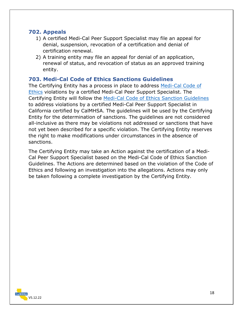#### <span id="page-18-0"></span>**702. Appeals**

- 1) A certified Medi-Cal Peer Support Specialist may file an appeal for denial, suspension, revocation of a certification and denial of certification renewal.
- 2) A training entity may file an appeal for denial of an application, renewal of status, and revocation of status as an approved training entity.

#### <span id="page-18-1"></span>**703. Medi-Cal Code of Ethics Sanctions Guidelines**

The Certifying Entity has a process in place to address [Medi-Cal Code of](#page-27-1)  [Ethics](#page-27-1) violations by a certified Medi-Cal Peer Support Specialist. The Certifying Entity will follow the [Medi-Cal Code of Ethics Sanction Guidelines](#page-39-0) to address violations by a certified Medi-Cal Peer Support Specialist in California certified by CalMHSA. The guidelines will be used by the Certifying Entity for the determination of sanctions. The guidelines are not considered all-inclusive as there may be violations not addressed or sanctions that have not yet been described for a specific violation. The Certifying Entity reserves the right to make modifications under circumstances in the absence of sanctions.

The Certifying Entity may take an Action against the certification of a Medi-Cal Peer Support Specialist based on the Medi-Cal Code of Ethics Sanction Guidelines. The Actions are determined based on the violation of the Code of Ethics and following an investigation into the allegations. Actions may only be taken following a complete investigation by the Certifying Entity.

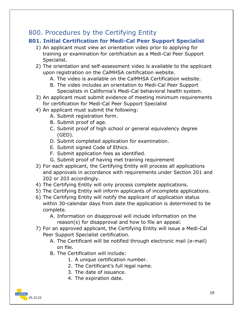## <span id="page-19-0"></span>800. Procedures by the Certifying Entity

#### <span id="page-19-1"></span>**801. Initial Certification for Medi-Cal Peer Support Specialist**

- 1) An applicant must view an orientation video prior to applying for training or examination for certification as a Medi-Cal Peer Support Specialist.
- 2) The orientation and self-assessment video is available to the applicant upon registration on the CalMHSA certification website.
	- A. The video is available on the CalMHSA Certification website.
	- B. The video includes an orientation to Medi-Cal Peer Support Specialists in California's Medi-Cal behavioral health system.
- 3) An applicant must submit evidence of meeting minimum requirements for certification for Medi-Cal Peer Support Specialist
- 4) An applicant must submit the following:
	- A. Submit registration form.
	- B. Submit proof of age.
	- C. Submit proof of high school or general equivalency degree (GED).
	- D. Submit completed application for examination.
	- E. Submit signed Code of Ethics.
	- F. Submit application fees as identified.
	- G. Submit proof of having met training requirement
- 3) For each applicant, the Certifying Entity will process all applications and approvals in accordance with requirements under Section 201 and 202 or 203 accordingly.
- 4) The Certifying Entity will only process complete applications.
- 5) The Certifying Entity will inform applicants of incomplete applications.
- 6) The Certifying Entity will notify the applicant of application status within 30-calendar days from date the application is determined to be complete.
	- A. Information on disapproval will include information on the reason(s) for disapproval and how to file an appeal.
- 7) For an approved applicant, the Certifying Entity will issue a Medi-Cal Peer Support Specialist certification.
	- A. The Certificant will be notified through electronic mail (e-mail) on file.
	- B. The Certification will include:
		- 1. A unique certification number.
		- 2. The Certificant's full legal name.
		- 3. The date of issuance.
		- 4. The expiration date.

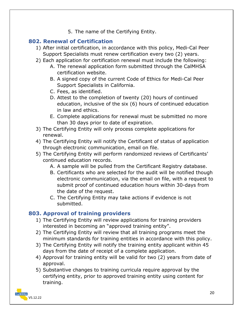5. The name of the Certifying Entity.

#### <span id="page-20-0"></span>**802. Renewal of Certification**

- 1) After initial certification, in accordance with this policy, Medi-Cal Peer Support Specialists must renew certification every two (2) years.
- 2) Each application for certification renewal must include the following:
	- A. The renewal application form submitted through the CalMHSA certification website.
	- B. A signed copy of the current Code of Ethics for Medi-Cal Peer Support Specialists in California.
	- C. Fees, as identified.
	- D. Attest to the completion of twenty (20) hours of continued education, inclusive of the six (6) hours of continued education in law and ethics.
	- E. Complete applications for renewal must be submitted no more than 30 days prior to date of expiration.
- 3) The Certifying Entity will only process complete applications for renewal.
- 4) The Certifying Entity will notify the Certificant of status of application through electronic communication, email on file.
- 5) The Certifying Entity will perform randomized reviews of Certificants' continued education records.
	- A. A sample will be pulled from the Certificant Registry database.
	- B. Certificants who are selected for the audit will be notified though electronic communication, via the email on file, with a request to submit proof of continued education hours within 30-days from the date of the request.
	- C. The Certifying Entity may take actions if evidence is not submitted.

#### <span id="page-20-1"></span>**803. Approval of training providers**

- 1) The Certifying Entity will review applications for training providers interested in becoming an "approved training entity".
- 2) The Certifying Entity will review that all training programs meet the minimum standards for training entities in accordance with this policy.
- 3) The Certifying Entity will notify the training entity applicant within 45 days from the date of receipt of a complete application.
- 4) Approval for training entity will be valid for two (2) years from date of approval.
- 5) Substantive changes to training curricula require approval by the certifying entity, prior to approved training entity using content for training.

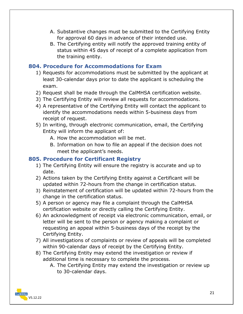- A. Substantive changes must be submitted to the Certifying Entity for approval 60 days in advance of their intended use.
- B. The Certifying entity will notify the approved training entity of status within 45 days of receipt of a complete application from the training entity.

#### <span id="page-21-0"></span>**804. Procedure for Accommodations for Exam**

- 1) Requests for accommodations must be submitted by the applicant at least 30-calendar days prior to date the applicant is scheduling the exam.
- 2) Request shall be made through the CalMHSA certification website.
- 3) The Certifying Entity will review all requests for accommodations.
- 4) A representative of the Certifying Entity will contact the applicant to identify the accommodations needs within 5-business days from receipt of request.
- 5) In writing, through electronic communication, email, the Certifying Entity will inform the applicant of:
	- A. How the accommodation will be met.
	- B. Information on how to file an appeal if the decision does not meet the applicant's needs.

#### <span id="page-21-1"></span>**805. Procedure for Certificant Registry**

- 1) The Certifying Entity will ensure the registry is accurate and up to date.
- 2) Actions taken by the Certifying Entity against a Certificant will be updated within 72-hours from the change in certification status.
- 3) Reinstatement of certification will be updated within 72-hours from the change in the certification status.
- 5) A person or agency may file a complaint through the CalMHSA certification website or directly calling the Certifying Entity.
- 6) An acknowledgment of receipt via electronic communication, email, or letter will be sent to the person or agency making a complaint or requesting an appeal within 5-business days of the receipt by the Certifying Entity.
- 7) All investigations of complaints or review of appeals will be completed within 90-calendar days of receipt by the Certifying Entity.
- 8) The Certifying Entity may extend the investigation or review if additional time is necessary to complete the process.
	- A. The Certifying Entity may extend the investigation or review up to 30-calendar days.

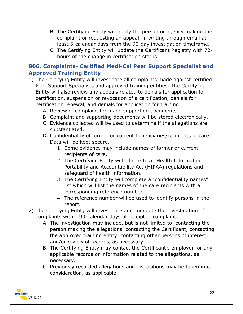- B. The Certifying Entity will notify the person or agency making the complaint or requesting an appeal, in writing through email at least 5-calendar days from the 90-day investigation timeframe.
- C. The Certifying Entity will update the Certificant Registry with 72 hours of the change in certification status.

#### <span id="page-22-0"></span>**806. Complaints- Certified Medi-Cal Peer Support Specialist and Approved Training Entity**

- 1) The Certifying Entity will investigate all complaints made against certified Peer Support Specialists and approved training entities. The Certifying Entity will also review any appeals related to denials for application for certification, suspension or revocation of a certification, denials for certification renewal, and denials for application for training.
	- A. Review of complaint form and supporting documents.
	- B. Complaint and supporting documents will be stored electronically.
	- C. Evidence collected will be used to determine if the allegations are substantiated.
	- D. Confidentiality of former or current beneficiaries/recipients of care. Data will be kept secure.
		- 1. Some evidence may include names of former or current recipients of care.
		- 2. The Certifying Entity will adhere to all Health Information Portability and Accountability Act (HIPAA) regulations and safeguard of health information.
		- 3. The Certifying Entity will complete a "confidentiality names" list which will list the names of the care recipients with a corresponding reference number.
		- 4. The reference number will be used to identify persons in the report.
- 2) The Certifying Entity will investigate and complete the investigation of complaints within 90-calendar days of receipt of complaint.
	- A. The investigation may include, but is not limited to, contacting the person making the allegations, contacting the Certificant, contacting the approved training entity, contacting other persons of interest, and/or review of records, as necessary.
	- B. The Certifying Entity may contact the Certificant's employer for any applicable records or information related to the allegations, as necessary.
	- C. Previously recorded allegations and dispositions may be taken into consideration, as applicable.

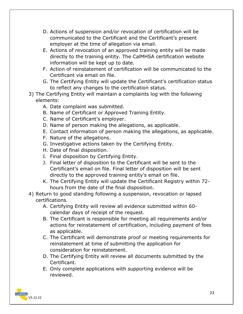- D. Actions of suspension and/or revocation of certification will be communicated to the Certificant and the Certificant's present employer at the time of allegation via email.
- E. Actions of revocation of an approved training entity will be made directly to the training entity. The CalMHSA certification website information will be kept up to date.
- F. Action of reinstatement of certification will be communicated to the Certificant via email on file.
- G. The Certifying Entity will update the Certificant's certification status to reflect any changes to the certification status.
- 3) The Certifying Entity will maintain a complaints log with the following elements:
	- A. Date complaint was submitted.
	- B. Name of Certificant or Approved Training Entity.
	- C. Name of Certificant's employer.
	- D. Name of person making the allegations, as applicable.
	- E. Contact information of person making the allegations, as applicable.
	- F. Nature of the allegations.
	- G. Investigative actions taken by the Certifying Entity.
	- H. Date of final disposition.
	- I. Final disposition by Certifying Entity.
	- J. Final letter of disposition to the Certificant will be sent to the Certificant's email on file. Final letter of disposition will be sent directly to the approved training entity's email on file.
	- K. The Certifying Entity will update the Certificant Registry within 72 hours from the date of the final disposition.
- 4) Return to good standing following a suspension, revocation or lapsed certifications.
	- A. Certifying Entity will review all evidence submitted within 60 calendar days of receipt of the request.
	- B. The Certificant is responsible for meeting all requirements and/or actions for reinstatement of certification, including payment of fees as applicable.
	- C. The Certificant will demonstrate proof or meeting requirements for reinstatement at time of submitting the application for consideration for reinstatement.
	- D. The Certifying Entity will review all documents submitted by the Certificant.
	- E. Only complete applications with supporting evidence will be reviewed.

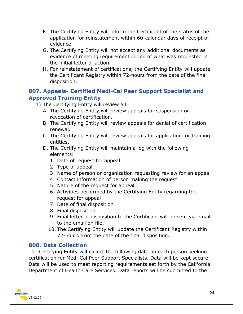- F. The Certifying Entity will inform the Certificant of the status of the application for reinstatement within 60-calendar days of receipt of evidence.
- G. The Certifying Entity will not accept any additional documents as evidence of meeting requirement in lieu of what was requested in the initial letter of action.
- H. For reinstatement of certifications, the Certifying Entity will update the Certificant Registry within 72-hours from the date of the final disposition.

#### <span id="page-24-0"></span>**807. Appeals- Certified Medi-Cal Peer Support Specialist and Approved Training Entity**

- 1) The Certifying Entity will review all.
	- A. The Certifying Entity will review appeals for suspension or revocation of certification.
	- B. The Certifying Entity will review appeals for denial of certification renewal.
	- C. The Certifying Entity will review appeals for application for training entities.
	- D. The Certifying Entity will maintain a log with the following elements:
		- 1. Date of request for appeal
		- 2. Type of appeal
		- 3. Name of person or organization requesting review for an appeal
		- 4. Contact information of person making the request
		- 5. Nature of the request for appeal
		- 6. Activities performed by the Certifying Entity regarding the request for appeal
		- 7. Date of final disposition
		- 8. Final disposition
		- 9. Final letter of disposition to the Certificant will be sent via email to the email on file.
		- 10. The Certifying Entity will update the Certificant Registry within 72-hours from the date of the final disposition.

#### <span id="page-24-1"></span>**808. Data Collection**

The Certifying Entity will collect the following data on each person seeking certification for Medi-Cal Peer Support Specialists. Data will be kept secure. Data will be used to meet reporting requirements set forth by the California Department of Health Care Services. Data reports will be submitted to the

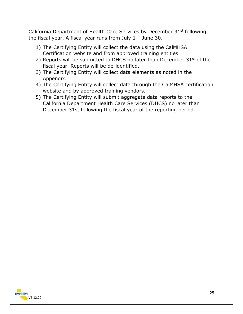California Department of Health Care Services by December  $31^{st}$  following the fiscal year. A fiscal year runs from July 1 – June 30.

- 1) The Certifying Entity will collect the data using the CalMHSA Certification website and from approved training entities.
- 2) Reports will be submitted to DHCS no later than December 31st of the fiscal year. Reports will be de-identified.
- 3) The Certifying Entity will collect data elements as noted in the Appendix.
- 4) The Certifying Entity will collect data through the CalMHSA certification website and by approved training vendors.
- 5) The Certifying Entity will submit aggregate data reports to the California Department Health Care Services (DHCS) no later than December 31st following the fiscal year of the reporting period.

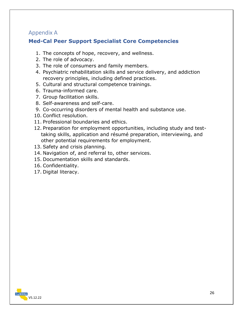#### <span id="page-26-0"></span>Appendix A

#### <span id="page-26-1"></span>**Med-Cal Peer Support Specialist Core Competencies**

- 1. The concepts of hope, recovery, and wellness.
- 2. The role of advocacy.
- 3. The role of consumers and family members.
- 4. Psychiatric rehabilitation skills and service delivery, and addiction recovery principles, including defined practices.
- 5. Cultural and structural competence trainings.
- 6. Trauma-informed care.
- 7. Group facilitation skills.
- 8. Self-awareness and self-care.
- 9. Co-occurring disorders of mental health and substance use.
- 10. Conflict resolution.
- 11. Professional boundaries and ethics.
- 12. Preparation for employment opportunities, including study and testtaking skills, application and résumé preparation, interviewing, and other potential requirements for employment.
- 13. Safety and crisis planning.
- 14. Navigation of, and referral to, other services.
- 15. Documentation skills and standards.
- 16. Confidentiality.
- 17. Digital literacy.

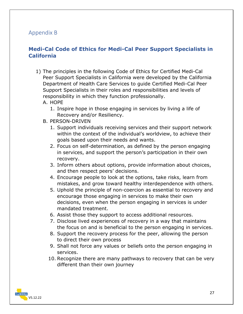#### <span id="page-27-0"></span>Appendix B

#### <span id="page-27-1"></span>**Medi-Cal Code of Ethics for Medi-Cal Peer Support Specialists in California**

- 1) The principles in the following Code of Ethics for Certified Medi-Cal Peer Support Specialists in California were developed by the California Department of Health Care Services to guide Certified Medi-Cal Peer Support Specialists in their roles and responsibilities and levels of responsibility in which they function professionally.
	- A. HOPE
		- 1. Inspire hope in those engaging in services by living a life of Recovery and/or Resiliency.
	- B. PERSON-DRIVEN
		- 1. Support individuals receiving services and their support network within the context of the individual's worldview, to achieve their goals based upon their needs and wants.
		- 2. Focus on self-determination, as defined by the person engaging in services, and support the person's participation in their own recovery.
		- 3. Inform others about options, provide information about choices, and then respect peers' decisions.
		- 4. Encourage people to look at the options, take risks, learn from mistakes, and grow toward healthy interdependence with others.
		- 5. Uphold the principle of non-coercion as essential to recovery and encourage those engaging in services to make their own decisions, even when the person engaging in services is under mandated treatment.
		- 6. Assist those they support to access additional resources.
		- 7. Disclose lived experiences of recovery in a way that maintains the focus on and is beneficial to the person engaging in services.
		- 8. Support the recovery process for the peer, allowing the person to direct their own process
		- 9. Shall not force any values or beliefs onto the person engaging in services.
		- 10. Recognize there are many pathways to recovery that can be very different than their own journey

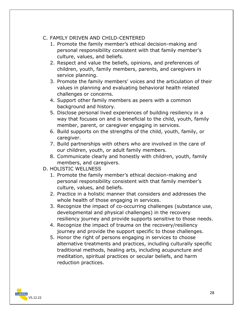#### C. FAMILY DRIVEN AND CHILD-CENTERED

- 1. Promote the family member's ethical decision-making and personal responsibility consistent with that family member's culture, values, and beliefs.
- 2. Respect and value the beliefs, opinions, and preferences of children, youth, family members, parents, and caregivers in service planning.
- 3. Promote the family members' voices and the articulation of their values in planning and evaluating behavioral health related challenges or concerns.
- 4. Support other family members as peers with a common background and history.
- 5. Disclose personal lived experiences of building resiliency in a way that focuses on and is beneficial to the child, youth, family member, parent, or caregiver engaging in services.
- 6. Build supports on the strengths of the child, youth, family, or caregiver.
- 7. Build partnerships with others who are involved in the care of our children, youth, or adult family members.
- 8. Communicate clearly and honestly with children, youth, family members, and caregivers.
- D. HOLISTIC WELLNESS
	- 1. Promote the family member's ethical decision-making and personal responsibility consistent with that family member's culture, values, and beliefs.
	- 2. Practice in a holistic manner that considers and addresses the whole health of those engaging in services.
	- 3. Recognize the impact of co-occurring challenges (substance use, developmental and physical challenges) in the recovery resiliency journey and provide supports sensitive to those needs.
	- 4. Recognize the impact of trauma on the recovery/resiliency journey and provide the support specific to those challenges.
	- 5. Honor the right of persons engaging in services to choose alternative treatments and practices, including culturally specific traditional methods, healing arts, including acupuncture and meditation, spiritual practices or secular beliefs, and harm reduction practices.

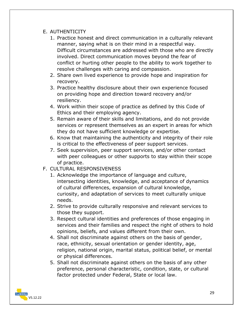#### E. AUTHENTICITY

- 1. Practice honest and direct communication in a culturally relevant manner, saying what is on their mind in a respectful way. Difficult circumstances are addressed with those who are directly involved. Direct communication moves beyond the fear of conflict or hurting other people to the ability to work together to resolve challenges with caring and compassion.
- 2. Share own lived experience to provide hope and inspiration for recovery.
- 3. Practice healthy disclosure about their own experience focused on providing hope and direction toward recovery and/or resiliency.
- 4. Work within their scope of practice as defined by this Code of Ethics and their employing agency.
- 5. Remain aware of their skills and limitations, and do not provide services or represent themselves as an expert in areas for which they do not have sufficient knowledge or expertise.
- 6. Know that maintaining the authenticity and integrity of their role is critical to the effectiveness of peer support services.
- 7. Seek supervision, peer support services, and/or other contact with peer colleagues or other supports to stay within their scope of practice.
- F. CULTURAL RESPONSIVENESS
	- 1. Acknowledge the importance of language and culture, intersecting identities, knowledge, and acceptance of dynamics of cultural differences, expansion of cultural knowledge, curiosity, and adaptation of services to meet culturally unique needs.
	- 2. Strive to provide culturally responsive and relevant services to those they support.
	- 3. Respect cultural identities and preferences of those engaging in services and their families and respect the right of others to hold opinions, beliefs, and values different from their own.
	- 4. Shall not discriminate against others on the basis of gender, race, ethnicity, sexual orientation or gender identity, age, religion, national origin, marital status, political belief, or mental or physical differences.
	- 5. Shall not discriminate against others on the basis of any other preference, personal characteristic, condition, state, or cultural factor protected under Federal, State or local law.

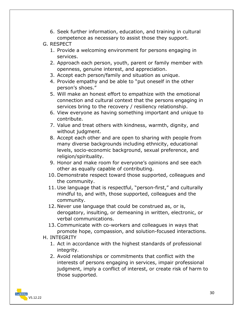6. Seek further information, education, and training in cultural competence as necessary to assist those they support.

#### G. RESPECT

- 1. Provide a welcoming environment for persons engaging in services.
- 2. Approach each person, youth, parent or family member with openness, genuine interest, and appreciation.
- 3. Accept each person/family and situation as unique.
- 4. Provide empathy and be able to "put oneself in the other person's shoes."
- 5. Will make an honest effort to empathize with the emotional connection and cultural context that the persons engaging in services bring to the recovery / resiliency relationship.
- 6. View everyone as having something important and unique to contribute.
- 7. Value and treat others with kindness, warmth, dignity, and without judament.
- 8. Accept each other and are open to sharing with people from many diverse backgrounds including ethnicity, educational levels, socio-economic background, sexual preference, and religion/spirituality.
- 9. Honor and make room for everyone's opinions and see each other as equally capable of contributing.
- 10. Demonstrate respect toward those supported, colleagues and the community.
- 11. Use language that is respectful, "person-first," and culturally mindful to, and with, those supported, colleagues and the community.
- 12. Never use language that could be construed as, or is, derogatory, insulting, or demeaning in written, electronic, or verbal communications.
- 13. Communicate with co-workers and colleagues in ways that promote hope, compassion, and solution-focused interactions.
- H. INTEGRITY
	- 1. Act in accordance with the highest standards of professional integrity.
	- 2. Avoid relationships or commitments that conflict with the interests of persons engaging in services, impair professional judgment, imply a conflict of interest, or create risk of harm to those supported.

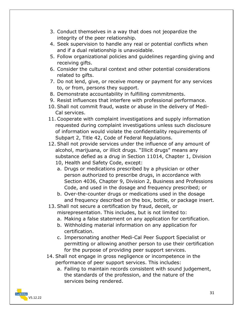- 3. Conduct themselves in a way that does not jeopardize the integrity of the peer relationship.
- 4. Seek supervision to handle any real or potential conflicts when and if a dual relationship is unavoidable.
- 5. Follow organizational policies and guidelines regarding giving and receiving gifts.
- 6. Consider the cultural context and other potential considerations related to gifts.
- 7. Do not lend, give, or receive money or payment for any services to, or from, persons they support.
- 8. Demonstrate accountability in fulfilling commitments.
- 9. Resist influences that interfere with professional performance.
- 10. Shall not commit fraud, waste or abuse in the delivery of Medi-Cal services.
- 11. Cooperate with complaint investigations and supply information requested during complaint investigations unless such disclosure of information would violate the confidentiality requirements of Subpart 2, Title 42, Code of Federal Regulations.
- 12. Shall not provide services under the influence of any amount of alcohol, marijuana, or illicit drugs. "Illicit drugs" means any substance defied as a drug in Section 11014, Chapter 1, Division 10, Health and Safety Code, except:
	- a. Drugs or medications prescribed by a physician or other person authorized to prescribe drugs, in accordance with Section 4036, Chapter 9, Division 2, Business and Professions Code, and used in the dosage and frequency prescribed; or
	- b. Over-the-counter drugs or medications used in the dosage and frequency described on the box, bottle, or package insert.
- 13. Shall not secure a certification by fraud, deceit, or misrepresentation. This includes, but is not limited to:
	- a. Making a false statement on any application for certification.
	- b. Withholding material information on any application for certification.
	- c. Impersonating another Medi-Cal Peer Support Specialist or permitting or allowing another person to use their certification for the purpose of providing peer support services.
- 14. Shall not engage in gross negligence or incompetence in the performance of peer support services. This includes:
	- a. Failing to maintain records consistent with sound judgement, the standards of the profession, and the nature of the services being rendered.

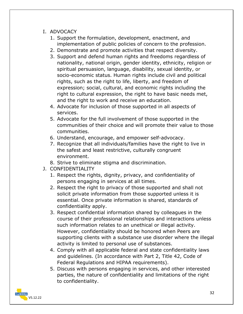- I. ADVOCACY
	- 1. Support the formulation, development, enactment, and implementation of public policies of concern to the profession.
	- 2. Demonstrate and promote activities that respect diversity.
	- 3. Support and defend human rights and freedoms regardless of nationality, national origin, gender identity, ethnicity, religion or spiritual persuasion, language, disability, sexual identity, or socio-economic status. Human rights include civil and political rights, such as the right to life, liberty, and freedom of expression; social, cultural, and economic rights including the right to cultural expression, the right to have basic needs met, and the right to work and receive an education.
	- 4. Advocate for inclusion of those supported in all aspects of services.
	- 5. Advocate for the full involvement of those supported in the communities of their choice and will promote their value to those communities.
	- 6. Understand, encourage, and empower self-advocacy.
	- 7. Recognize that all individuals/families have the right to live in the safest and least restrictive, culturally congruent environment.
	- 8. Strive to eliminate stigma and discrimination.
- J. CONFIDENTIALITY
	- 1. Respect the rights, dignity, privacy, and confidentiality of persons engaging in services at all times.
	- 2. Respect the right to privacy of those supported and shall not solicit private information from those supported unless it is essential. Once private information is shared, standards of confidentiality apply.
	- 3. Respect confidential information shared by colleagues in the course of their professional relationships and interactions unless such information relates to an unethical or illegal activity. However, confidentiality should be honored when Peers are supporting clients with a substance use disorder where the illegal activity is limited to personal use of substances.
	- 4. Comply with all applicable federal and state confidentiality laws and guidelines. (In accordance with Part 2, Title 42, Code of Federal Regulations and HIPAA requirements).
	- 5. Discuss with persons engaging in services, and other interested parties, the nature of confidentiality and limitations of the right to confidentiality.

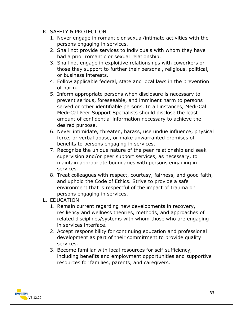- K. SAFETY & PROTECTION
	- 1. Never engage in romantic or sexual/intimate activities with the persons engaging in services.
	- 2. Shall not provide services to individuals with whom they have had a prior romantic or sexual relationship.
	- 3. Shall not engage in exploitive relationships with coworkers or those they support to further their personal, religious, political, or business interests.
	- 4. Follow applicable federal, state and local laws in the prevention of harm.
	- 5. Inform appropriate persons when disclosure is necessary to prevent serious, foreseeable, and imminent harm to persons served or other identifiable persons. In all instances, Medi-Cal Medi-Cal Peer Support Specialists should disclose the least amount of confidential information necessary to achieve the desired purpose.
	- 6. Never intimidate, threaten, harass, use undue influence, physical force, or verbal abuse, or make unwarranted promises of benefits to persons engaging in services.
	- 7. Recognize the unique nature of the peer relationship and seek supervision and/or peer support services, as necessary, to maintain appropriate boundaries with persons engaging in services.
	- 8. Treat colleagues with respect, courtesy, fairness, and good faith, and uphold the Code of Ethics. Strive to provide a safe environment that is respectful of the impact of trauma on persons engaging in services.
- L. EDUCATION
	- 1. Remain current regarding new developments in recovery, resiliency and wellness theories, methods, and approaches of related disciplines/systems with whom those who are engaging in services interface.
	- 2. Accept responsibility for continuing education and professional development as part of their commitment to provide quality services.
	- 3. Become familiar with local resources for self-sufficiency, including benefits and employment opportunities and supportive resources for families, parents, and caregivers.

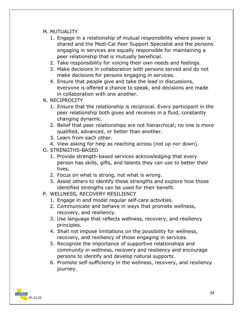- M. MUTUALITY
	- 1. Engage in a relationship of mutual responsibility where power is shared and the Medi-Cal Peer Support Specialist and the persons engaging in services are equally responsible for maintaining a peer relationship that is mutually beneficial.
	- 2. Take responsibility for voicing their own needs and feelings.
	- 3. Make decisions in collaboration with persons served and do not make decisions for persons engaging in services.
	- 4. Ensure that people give and take the lead in discussions, everyone is offered a chance to speak, and decisions are made in collaboration with one another.
- N. RECIPROCITY
	- 1. Ensure that the relationship is reciprocal. Every participant in the peer relationship both gives and receives in a fluid, constantly changing dynamic.
	- 2. Belief that peer relationships are not hierarchical; no one is more qualified, advanced, or better than another.
	- 3. Learn from each other.
	- 4. View asking for help as reaching across (not up nor down).
- O. STRENGTHS-BASED
	- 1. Provide strength-based services acknowledging that every person has skills, gifts, and talents they can use to better their lives.
	- 2. Focus on what is strong, not what is wrong.
	- 3. Assist others to identify these strengths and explore how those identified strengths can be used for their benefit.
- P. WELLNESS, RECOVERY RESILIENCY
	- 1. Engage in and model regular self-care activities.
	- 2. Communicate and behave in ways that promote wellness, recovery, and resiliency.
	- 3. Use language that reflects wellness, recovery, and resiliency principles.
	- 4. Shall not impose limitations on the possibility for wellness, recovery, and resiliency of those engaging in services.
	- 5. Recognize the importance of supportive relationships and community in wellness, recovery and resiliency and encourage persons to identify and develop natural supports.
	- 6. Promote self-sufficiency in the wellness, recovery, and resiliency journey.

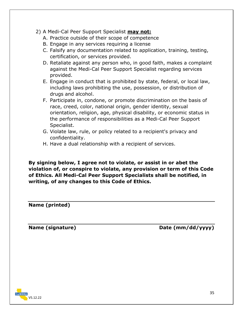- 2) A Medi-Cal Peer Support Specialist **may not:**
	- A. Practice outside of their scope of competence
	- B. Engage in any services requiring a license
	- C. Falsify any documentation related to application, training, testing, certification, or services provided.
	- D. Retaliate against any person who, in good faith, makes a complaint against the Medi-Cal Peer Support Specialist regarding services provided.
	- E. Engage in conduct that is prohibited by state, federal, or local law, including laws prohibiting the use, possession, or distribution of drugs and alcohol.
	- F. Participate in, condone, or promote discrimination on the basis of race, creed, color, national origin, gender identity, sexual orientation, religion, age, physical disability, or economic status in the performance of responsibilities as a Medi-Cal Peer Support Specialist.
	- G. Violate law, rule, or policy related to a recipient's privacy and confidentiality.
	- H. Have a dual relationship with a recipient of services.

**By signing below, I agree not to violate, or assist in or abet the violation of, or conspire to violate, any provision or term of this Code of Ethics. All Medi-Cal Peer Support Specialists shall be notified, in writing, of any changes to this Code of Ethics.**

**Name (printed)**

Name (signature) **Name** (signature) **Date (mm/dd/yyyy)** 

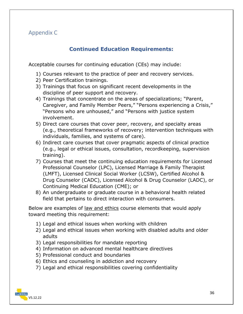#### <span id="page-36-0"></span>Appendix C

#### **Continued Education Requirements:**

<span id="page-36-1"></span>Acceptable courses for continuing education (CEs) may include:

- 1) Courses relevant to the practice of peer and recovery services.
- 2) Peer Certification trainings.
- 3) Trainings that focus on significant recent developments in the discipline of peer support and recovery.
- 4) Trainings that concentrate on the areas of specializations; "Parent, Caregiver, and Family Member Peers," "Persons experiencing a Crisis," "Persons who are unhoused," and "Persons with justice system involvement.
- 5) Direct care courses that cover peer, recovery, and specialty areas (e.g., theoretical frameworks of recovery; intervention techniques with individuals, families, and systems of care).
- 6) Indirect care courses that cover pragmatic aspects of clinical practice (e.g., legal or ethical issues, consultation, recordkeeping, supervision training).
- 7) Courses that meet the continuing education requirements for Licensed Professional Counselor (LPC), Licensed Marriage & Family Therapist (LMFT), Licensed Clinical Social Worker (LCSW), Certified Alcohol & Drug Counselor (CADC), Licensed Alcohol & Drug Counselor (LADC), or Continuing Medical Education (CME); or
- 8) An undergraduate or graduate course in a behavioral health related field that pertains to direct interaction with consumers.

Below are examples of <u>law and ethics</u> course elements that would apply toward meeting this requirement:

- 1) Legal and ethical issues when working with children
- 2) Legal and ethical issues when working with disabled adults and older adults
- 3) Legal responsibilities for mandate reporting
- 4) Information on advanced mental healthcare directives
- 5) Professional conduct and boundaries
- 6) Ethics and counseling in addiction and recovery
- 7) Legal and ethical responsibilities covering confidentiality

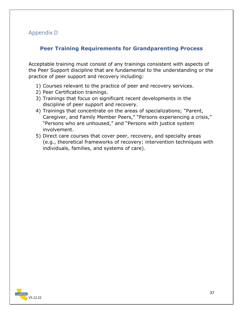#### <span id="page-37-0"></span>Appendix D

#### <span id="page-37-1"></span>**Peer Training Requirements for Grandparenting Process**

Acceptable training must consist of any trainings consistent with aspects of the Peer Support discipline that are fundamental to the understanding or the practice of peer support and recovery including:

- 1) Courses relevant to the practice of peer and recovery services.
- 2) Peer Certification trainings.
- 3) Trainings that focus on significant recent developments in the discipline of peer support and recovery.
- 4) Trainings that concentrate on the areas of specializations; "Parent, Caregiver, and Family Member Peers," "Persons experiencing a crisis," "Persons who are unhoused," and "Persons with justice system involvement.
- 5) Direct care courses that cover peer, recovery, and specialty areas (e.g., theoretical frameworks of recovery; intervention techniques with individuals, families, and systems of care).

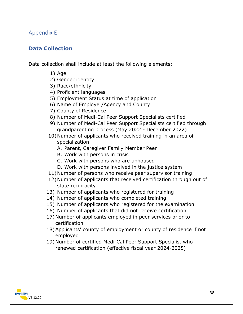#### <span id="page-38-0"></span>Appendix E

#### <span id="page-38-1"></span>**Data Collection**

Data collection shall include at least the following elements:

- 1) Age
- 2) Gender identity
- 3) Race/ethnicity
- 4) Proficient languages
- 5) Employment Status at time of application
- 6) Name of Employer/Agency and County
- 7) County of Residence
- 8) Number of Medi-Cal Peer Support Specialists certified
- 9) Number of Medi-Cal Peer Support Specialists certified through grandparenting process (May 2022 - December 2022)
- 10)Number of applicants who received training in an area of specialization
	- A. Parent, Caregiver Family Member Peer
	- B. Work with persons in crisis
	- C. Work with persons who are unhoused
	- D. Work with persons involved in the justice system
- 11)Number of persons who receive peer supervisor training
- 12)Number of applicants that received certification through out of state reciprocity
- 13) Number of applicants who registered for training
- 14) Number of applicants who completed training
- 15) Number of applicants who registered for the examination
- 16) Number of applicants that did not receive certification
- 17)Number of applicants employed in peer services prior to certification
- 18)Applicants' county of employment or county of residence if not employed
- 19)Number of certified Medi-Cal Peer Support Specialist who renewed certification (effective fiscal year 2024-2025)

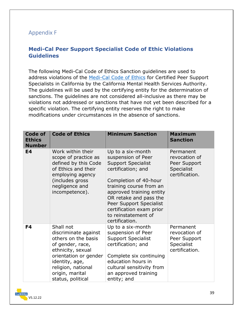#### <span id="page-39-0"></span>Appendix F

#### <span id="page-39-1"></span>**Medi-Cal Peer Support Specialist Code of Ethic Violations Guidelines**

The following Medi-Cal Code of Ethics Sanction guidelines are used to address violations of the [Medi-Cal Code of Ethics](#page-27-1) for Certified Peer Support Specialists in California by the California Mental Health Services Authority. The guidelines will be used by the certifying entity for the determination of sanctions. The guidelines are not considered all-inclusive as there may be violations not addressed or sanctions that have not yet been described for a specific violation. The certifying entity reserves the right to make modifications under circumstances in the absence of sanctions.

| Code of<br><b>Ethics</b><br><b>Number</b> | <b>Code of Ethics</b>                                                                                                                                                                                      | <b>Minimum Sanction</b>                                                                                                                                                                                                                                                                              | <b>Maximum</b><br><b>Sanction</b>                                                 |
|-------------------------------------------|------------------------------------------------------------------------------------------------------------------------------------------------------------------------------------------------------------|------------------------------------------------------------------------------------------------------------------------------------------------------------------------------------------------------------------------------------------------------------------------------------------------------|-----------------------------------------------------------------------------------|
| <b>E4</b>                                 | Work within their<br>scope of practice as<br>defined by this Code<br>of Ethics and their<br>employing agency<br>(includes gross<br>negligence and<br>incompetence).                                        | Up to a six-month<br>suspension of Peer<br><b>Support Specialist</b><br>certification; and<br>Completion of 40-hour<br>training course from an<br>approved training entity<br>OR retake and pass the<br>Peer Support Specialist<br>certification exam prior<br>to reinstatement of<br>certification. | Permanent<br>revocation of<br>Peer Support<br><b>Specialist</b><br>certification. |
| F4                                        | Shall not<br>discriminate against<br>others on the basis<br>of gender, race,<br>ethnicity, sexual<br>orientation or gender<br>identity, age,<br>religion, national<br>origin, marital<br>status, political | Up to a six-month<br>suspension of Peer<br><b>Support Specialist</b><br>certification; and<br>Complete six continuing<br>education hours in<br>cultural sensitivity from<br>an approved training<br>entity; and                                                                                      | Permanent<br>revocation of<br>Peer Support<br>Specialist<br>certification.        |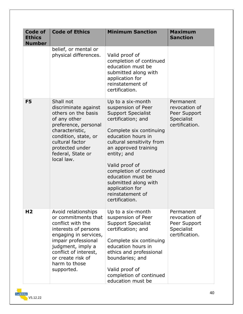| <b>Code of</b><br><b>Ethics</b><br><b>Number</b> | <b>Code of Ethics</b>                                                                                                                                                                                                                     | <b>Minimum Sanction</b>                                                                                                                                                                                                                                                                                                                                            | <b>Maximum</b><br><b>Sanction</b>                                                 |
|--------------------------------------------------|-------------------------------------------------------------------------------------------------------------------------------------------------------------------------------------------------------------------------------------------|--------------------------------------------------------------------------------------------------------------------------------------------------------------------------------------------------------------------------------------------------------------------------------------------------------------------------------------------------------------------|-----------------------------------------------------------------------------------|
|                                                  | belief, or mental or<br>physical differences.                                                                                                                                                                                             | Valid proof of<br>completion of continued<br>education must be<br>submitted along with<br>application for<br>reinstatement of<br>certification.                                                                                                                                                                                                                    |                                                                                   |
| F <sub>5</sub>                                   | Shall not<br>discriminate against<br>others on the basis<br>of any other<br>preference, personal<br>characteristic,<br>condition, state, or<br>cultural factor<br>protected under<br>federal, State or<br>local law.                      | Up to a six-month<br>suspension of Peer<br><b>Support Specialist</b><br>certification; and<br>Complete six continuing<br>education hours in<br>cultural sensitivity from<br>an approved training<br>entity; and<br>Valid proof of<br>completion of continued<br>education must be<br>submitted along with<br>application for<br>reinstatement of<br>certification. | Permanent<br>revocation of<br>Peer Support<br><b>Specialist</b><br>certification. |
| H <sub>2</sub>                                   | Avoid relationships<br>or commitments that<br>conflict with the<br>interests of persons<br>engaging in services,<br>impair professional<br>judgment, imply a<br>conflict of interest,<br>or create risk of<br>harm to those<br>supported. | Up to a six-month<br>suspension of Peer<br><b>Support Specialist</b><br>certification; and<br>Complete six continuing<br>education hours in<br>ethics and professional<br>boundaries; and<br>Valid proof of<br>completion of continued<br>education must be                                                                                                        | Permanent<br>revocation of<br>Peer Support<br>Specialist<br>certification.        |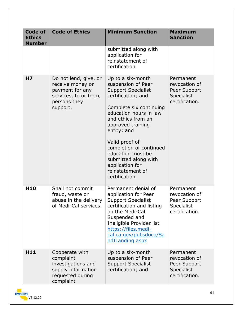| Code of<br><b>Ethics</b><br><b>Number</b> | <b>Code of Ethics</b>                                                                                             | <b>Minimum Sanction</b>                                                                                                                                                                                                                                                                                                                                      | <b>Maximum</b><br><b>Sanction</b>                                                 |
|-------------------------------------------|-------------------------------------------------------------------------------------------------------------------|--------------------------------------------------------------------------------------------------------------------------------------------------------------------------------------------------------------------------------------------------------------------------------------------------------------------------------------------------------------|-----------------------------------------------------------------------------------|
|                                           |                                                                                                                   | submitted along with<br>application for<br>reinstatement of<br>certification.                                                                                                                                                                                                                                                                                |                                                                                   |
| H7                                        | Do not lend, give, or<br>receive money or<br>payment for any<br>services, to or from,<br>persons they<br>support. | Up to a six-month<br>suspension of Peer<br><b>Support Specialist</b><br>certification; and<br>Complete six continuing<br>education hours in law<br>and ethics from an<br>approved training<br>entity; and<br>Valid proof of<br>completion of continued<br>education must be<br>submitted along with<br>application for<br>reinstatement of<br>certification. | Permanent<br>revocation of<br>Peer Support<br>Specialist<br>certification.        |
| H <sub>10</sub>                           | Shall not commit<br>fraud, waste or<br>abuse in the delivery<br>of Medi-Cal services.                             | Permanent denial of<br>application for Peer<br><b>Support Specialist</b><br>certification and listing<br>on the Medi-Cal<br>Suspended and<br>Ineligible Provider list<br>https://files.medi-<br>cal.ca.gov/pubsdoco/Sa<br>ndILanding.aspx                                                                                                                    | Permanent<br>revocation of<br>Peer Support<br>Specialist<br>certification.        |
| H11                                       | Cooperate with<br>complaint<br>investigations and<br>supply information<br>requested during<br>complaint          | Up to a six-month<br>suspension of Peer<br><b>Support Specialist</b><br>certification; and                                                                                                                                                                                                                                                                   | Permanent<br>revocation of<br>Peer Support<br><b>Specialist</b><br>certification. |

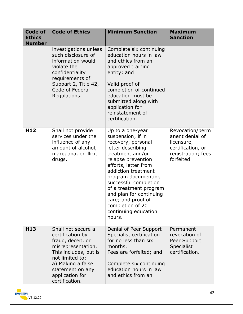| <b>Code of</b><br><b>Ethics</b><br><b>Number</b> | <b>Code of Ethics</b>                                                                                                                                                                                       | <b>Minimum Sanction</b>                                                                                                                                                                                                                                                                                                                                    | <b>Maximum</b><br><b>Sanction</b>                                                                         |
|--------------------------------------------------|-------------------------------------------------------------------------------------------------------------------------------------------------------------------------------------------------------------|------------------------------------------------------------------------------------------------------------------------------------------------------------------------------------------------------------------------------------------------------------------------------------------------------------------------------------------------------------|-----------------------------------------------------------------------------------------------------------|
|                                                  | investigations unless<br>such disclosure of<br>information would<br>violate the<br>confidentiality<br>requirements of<br>Subpart 2, Title 42,<br>Code of Federal<br>Regulations.                            | Complete six continuing<br>education hours in law<br>and ethics from an<br>approved training<br>entity; and<br>Valid proof of<br>completion of continued<br>education must be<br>submitted along with<br>application for<br>reinstatement of<br>certification.                                                                                             |                                                                                                           |
| H <sub>12</sub>                                  | Shall not provide<br>services under the<br>influence of any<br>amount of alcohol,<br>marijuana, or illicit<br>drugs.                                                                                        | Up to a one-year<br>suspension; if in<br>recovery, personal<br>letter describing<br>treatment and/or<br>relapse prevention<br>efforts, letter from<br>addiction treatment<br>program documenting<br>successful completion<br>of a treatment program<br>and plan for continuing<br>care; and proof of<br>completion of 20<br>continuing education<br>hours. | Revocation/perm<br>anent denial of<br>licensure,<br>certification, or<br>registration; fees<br>forfeited. |
| H <sub>13</sub>                                  | Shall not secure a<br>certification by<br>fraud, deceit, or<br>misrepresentation.<br>This includes, but is<br>not limited to:<br>a) Making a false<br>statement on any<br>application for<br>certification. | Denial of Peer Support<br>Specialist certification<br>for no less than six<br>months.<br>Fees are forfeited; and<br>Complete six continuing<br>education hours in law<br>and ethics from an                                                                                                                                                                | Permanent<br>revocation of<br>Peer Support<br>Specialist<br>certification.                                |

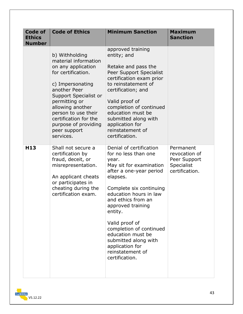| <b>Code of</b><br><b>Ethics</b><br><b>Number</b> | <b>Code of Ethics</b>                                                                                                                                                                                                                                                                     | <b>Minimum Sanction</b>                                                                                                                                                                                                                                                                                                                                                                  | <b>Maximum</b><br><b>Sanction</b>                                          |
|--------------------------------------------------|-------------------------------------------------------------------------------------------------------------------------------------------------------------------------------------------------------------------------------------------------------------------------------------------|------------------------------------------------------------------------------------------------------------------------------------------------------------------------------------------------------------------------------------------------------------------------------------------------------------------------------------------------------------------------------------------|----------------------------------------------------------------------------|
|                                                  | b) Withholding<br>material information<br>on any application<br>for certification.<br>c) Impersonating<br>another Peer<br>Support Specialist or<br>permitting or<br>allowing another<br>person to use their<br>certification for the<br>purpose of providing<br>peer support<br>services. | approved training<br>entity; and<br>Retake and pass the<br>Peer Support Specialist<br>certification exam prior<br>to reinstatement of<br>certification; and<br>Valid proof of<br>completion of continued<br>education must be<br>submitted along with<br>application for<br>reinstatement of<br>certification.                                                                           |                                                                            |
| H <sub>13</sub>                                  | Shall not secure a<br>certification by<br>fraud, deceit, or<br>misrepresentation.<br>An applicant cheats<br>or participates in<br>cheating during the<br>certification exam.                                                                                                              | Denial of certification<br>for no less than one<br>year.<br>May sit for examination<br>after a one-year period<br>elapses.<br>Complete six continuing<br>education hours in law<br>and ethics from an<br>approved training<br>entity.<br>Valid proof of<br>completion of continued<br>education must be<br>submitted along with<br>application for<br>reinstatement of<br>certification. | Permanent<br>revocation of<br>Peer Support<br>Specialist<br>certification. |

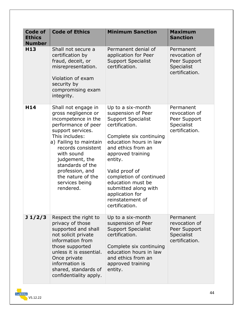| <b>Code of</b><br><b>Ethics</b><br><b>Number</b> | <b>Code of Ethics</b>                                                                                                                                                                                                                                                                                      | <b>Minimum Sanction</b>                                                                                                                                                                                                                                                                                                                              | <b>Maximum</b><br><b>Sanction</b>                                                 |
|--------------------------------------------------|------------------------------------------------------------------------------------------------------------------------------------------------------------------------------------------------------------------------------------------------------------------------------------------------------------|------------------------------------------------------------------------------------------------------------------------------------------------------------------------------------------------------------------------------------------------------------------------------------------------------------------------------------------------------|-----------------------------------------------------------------------------------|
| H <sub>13</sub>                                  | Shall not secure a<br>certification by<br>fraud, deceit, or<br>misrepresentation.<br>Violation of exam<br>security by<br>compromising exam<br>integrity.                                                                                                                                                   | Permanent denial of<br>application for Peer<br><b>Support Specialist</b><br>certification.                                                                                                                                                                                                                                                           | Permanent<br>revocation of<br>Peer Support<br><b>Specialist</b><br>certification. |
| H14                                              | Shall not engage in<br>gross negligence or<br>incompetence in the<br>performance of peer<br>support services.<br>This includes:<br>a) Failing to maintain<br>records consistent<br>with sound<br>judgement, the<br>standards of the<br>profession, and<br>the nature of the<br>services being<br>rendered. | Up to a six-month<br>suspension of Peer<br><b>Support Specialist</b><br>certification.<br>Complete six continuing<br>education hours in law<br>and ethics from an<br>approved training<br>entity.<br>Valid proof of<br>completion of continued<br>education must be<br>submitted along with<br>application for<br>reinstatement of<br>certification. | Permanent<br>revocation of<br>Peer Support<br>Specialist<br>certification.        |
| J1/2/3                                           | Respect the right to<br>privacy of those<br>supported and shall<br>not solicit private<br>information from<br>those supported<br>unless it is essential.<br>Once private<br>information is<br>shared, standards of<br>confidentiality apply.                                                               | Up to a six-month<br>suspension of Peer<br><b>Support Specialist</b><br>certification.<br>Complete six continuing<br>education hours in law<br>and ethics from an<br>approved training<br>entity.                                                                                                                                                    | Permanent<br>revocation of<br>Peer Support<br>Specialist<br>certification.        |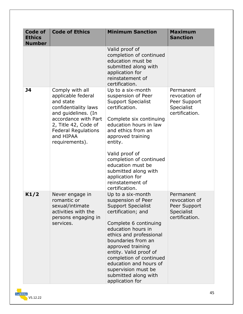| <b>Code of</b><br><b>Ethics</b><br><b>Number</b> | <b>Code of Ethics</b>                                                                                                                                                                                          | <b>Minimum Sanction</b>                                                                                                                                                                                                                                                                                                                                          | <b>Maximum</b><br><b>Sanction</b>                                                 |
|--------------------------------------------------|----------------------------------------------------------------------------------------------------------------------------------------------------------------------------------------------------------------|------------------------------------------------------------------------------------------------------------------------------------------------------------------------------------------------------------------------------------------------------------------------------------------------------------------------------------------------------------------|-----------------------------------------------------------------------------------|
|                                                  |                                                                                                                                                                                                                | Valid proof of<br>completion of continued<br>education must be<br>submitted along with<br>application for<br>reinstatement of<br>certification.                                                                                                                                                                                                                  |                                                                                   |
| <b>J4</b>                                        | Comply with all<br>applicable federal<br>and state<br>confidentiality laws<br>and guidelines. (In<br>accordance with Part<br>2, Title 42, Code of<br><b>Federal Regulations</b><br>and HIPAA<br>requirements). | Up to a six-month<br>suspension of Peer<br><b>Support Specialist</b><br>certification.<br>Complete six continuing<br>education hours in law<br>and ethics from an<br>approved training<br>entity.<br>Valid proof of<br>completion of continued<br>education must be<br>submitted along with<br>application for<br>reinstatement of<br>certification.             | Permanent<br>revocation of<br>Peer Support<br>Specialist<br>certification.        |
| K1/2                                             | Never engage in<br>romantic or<br>sexual/intimate<br>activities with the<br>persons engaging in<br>services.                                                                                                   | Up to a six-month<br>suspension of Peer<br><b>Support Specialist</b><br>certification; and<br>Complete 6 continuing<br>education hours in<br>ethics and professional<br>boundaries from an<br>approved training<br>entity. Valid proof of<br>completion of continued<br>education and hours of<br>supervision must be<br>submitted along with<br>application for | Permanent<br>revocation of<br>Peer Support<br><b>Specialist</b><br>certification. |

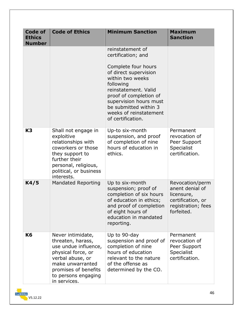| <b>Code of</b><br><b>Ethics</b><br><b>Number</b> | <b>Code of Ethics</b>                                                                                                                                                                       | <b>Minimum Sanction</b>                                                                                                                                                                                                                                                     | <b>Maximum</b><br><b>Sanction</b>                                                                         |
|--------------------------------------------------|---------------------------------------------------------------------------------------------------------------------------------------------------------------------------------------------|-----------------------------------------------------------------------------------------------------------------------------------------------------------------------------------------------------------------------------------------------------------------------------|-----------------------------------------------------------------------------------------------------------|
|                                                  |                                                                                                                                                                                             | reinstatement of<br>certification; and<br>Complete four hours<br>of direct supervision<br>within two weeks<br>following<br>reinstatement. Valid<br>proof of completion of<br>supervision hours must<br>be submitted within 3<br>weeks of reinstatement<br>of certification. |                                                                                                           |
| K <sub>3</sub>                                   | Shall not engage in<br>exploitive<br>relationships with<br>coworkers or those<br>they support to<br>further their<br>personal, religious,<br>political, or business<br>interests.           | Up-to six-month<br>suspension, and proof<br>of completion of nine<br>hours of education in<br>ethics.                                                                                                                                                                       | Permanent<br>revocation of<br>Peer Support<br>Specialist<br>certification.                                |
| K4/5                                             | <b>Mandated Reporting</b>                                                                                                                                                                   | Up to six-month<br>suspension; proof of<br>completion of six hours<br>of education in ethics;<br>and proof of completion<br>of eight hours of<br>education in mandated<br>reporting.                                                                                        | Revocation/perm<br>anent denial of<br>licensure,<br>certification, or<br>registration; fees<br>forfeited. |
| K <sub>6</sub>                                   | Never intimidate,<br>threaten, harass,<br>use undue influence,<br>physical force, or<br>verbal abuse, or<br>make unwarranted<br>promises of benefits<br>to persons engaging<br>in services. | Up to 90-day<br>suspension and proof of<br>completion of nine<br>hours of education<br>relevant to the nature<br>of the offense as<br>determined by the CO.                                                                                                                 | Permanent<br>revocation of<br>Peer Support<br><b>Specialist</b><br>certification.                         |

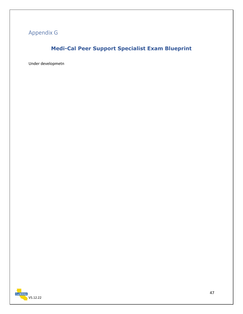## <span id="page-47-1"></span><span id="page-47-0"></span>Appendix G

## **Medi-Cal Peer Support Specialist Exam Blueprint**

Under developmetn